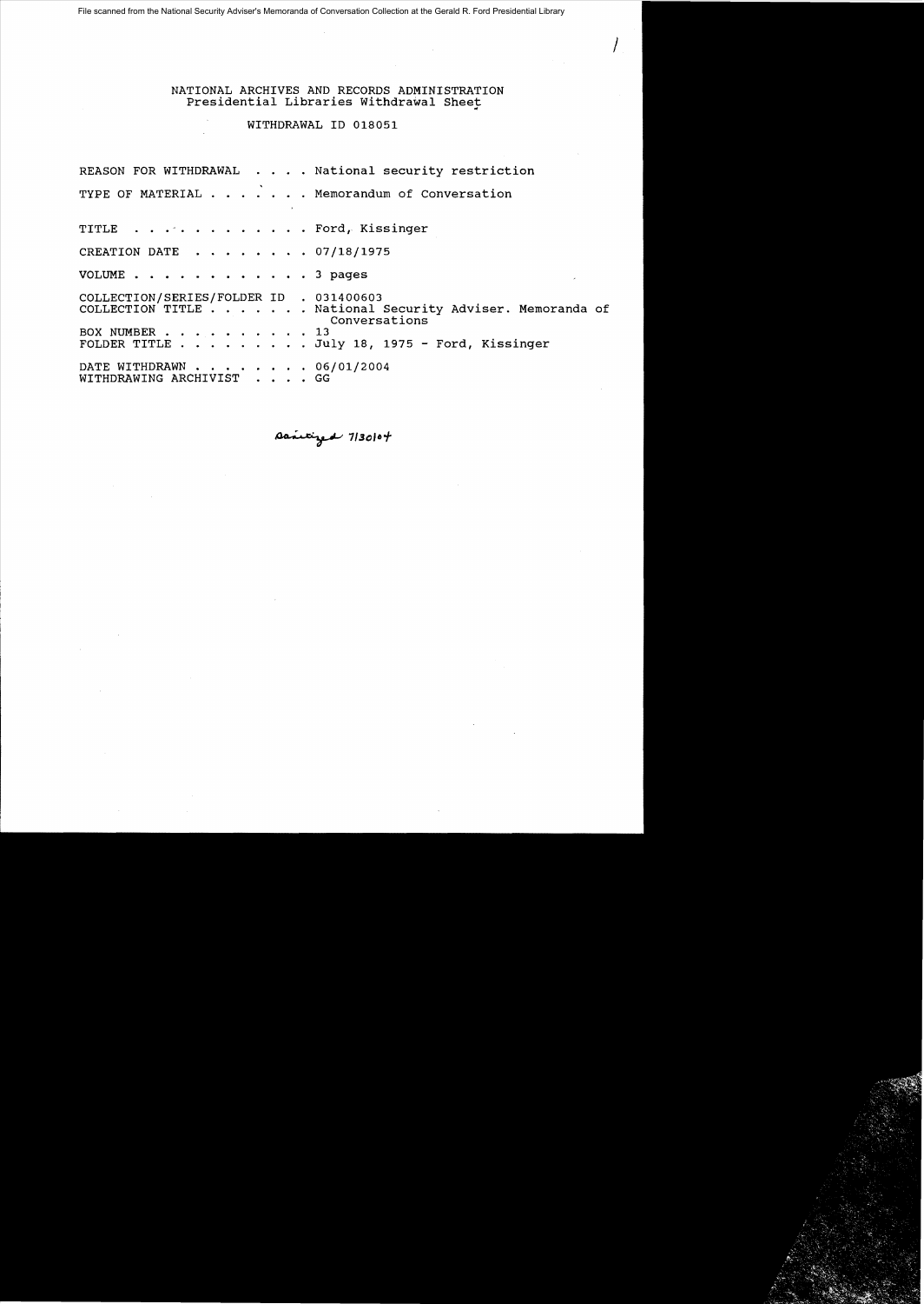File scanned from the National Security Adviser's Memoranda of Conversation Collection at the Gerald R. Ford Presidential Library

NATIONAL ARCHIVES AND RECORDS ADMINISTRATION Presidential Libraries Withdrawal Sheet

 $\int_{\mathbb{R}^2}$ 

### WITHDRAWAL ID 018051

REASON FOR WITHDRAWAL . . . . National security restriction TYPE OF MATERIAL . . . . . . Memorandum of Conversation TITLE . . . . . . . . . . . . Ford, Kissinger CREATION DATE  $\cdot \cdot \cdot \cdot \cdot \cdot 07/18/1975$ VOLUME . . . . . . . . . . . . 3 pages COLLECTION/SERIES/FOLDER ID . 031400603 COLLECTION TITLE . . . . . . National Security Adviser. Memoranda of Conversations<br>
. 13 BOX NUMBER . . . . . . . . .<br>FOLDER TITLE . . . . . . . . July 18, 1975 - Ford, Kissinger DATE WITHDRAWN . . . . . . . 06/01/2004 WITHDRAWING ARCHIVIST . . . . GG

 $A$ anicized  $7/3$ 0/04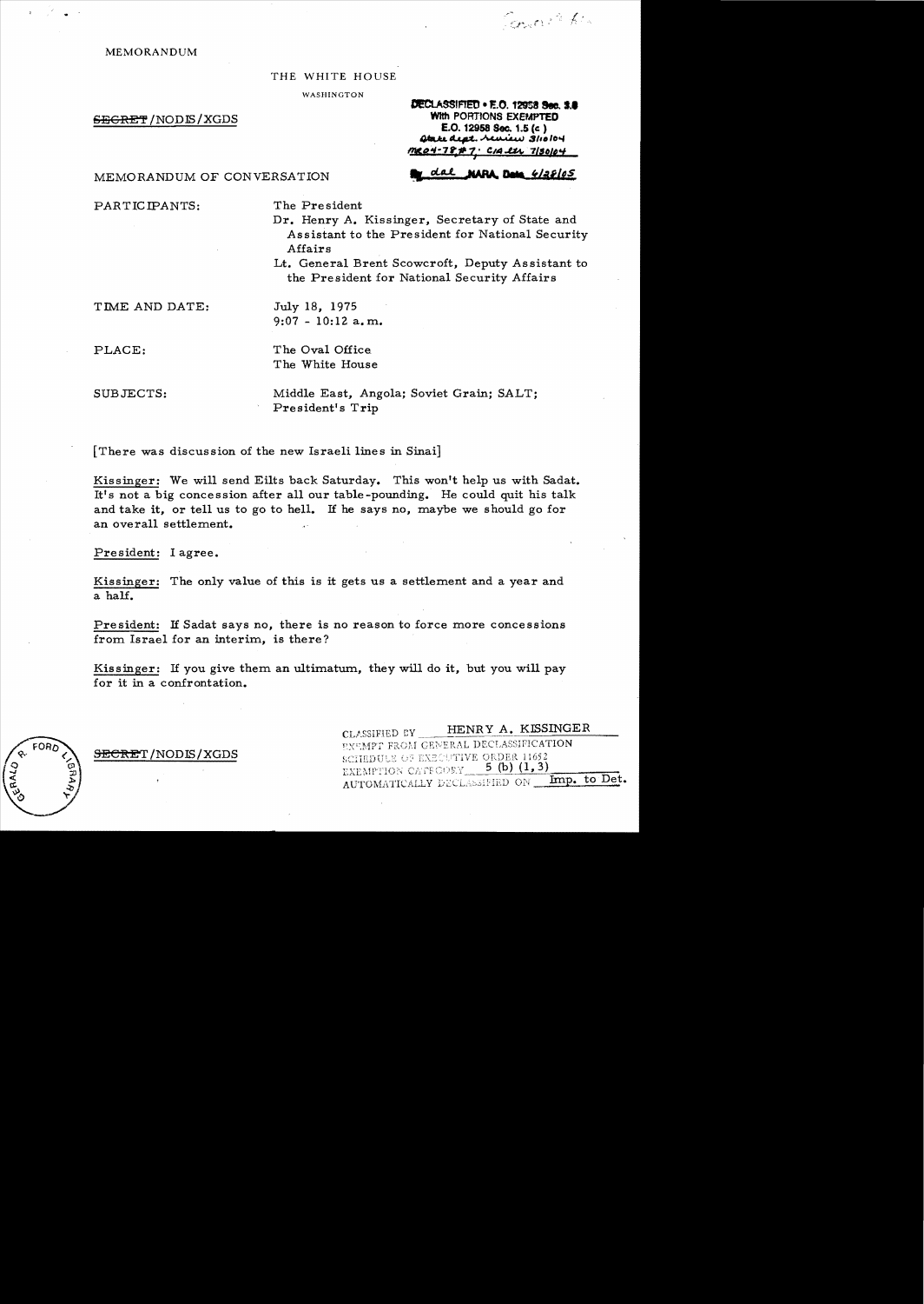**MEMORANDUM** 

#### THE WHITE HOUSE

WASHINGTON

**SEGRET/NODIS/XGDS** 

DECLASSIFIED . E.O. 12958 Sec. 1.8 With PORTIONS EXEMPTED E.O. 12958 Sec. 1.5 (c) Atake dept. Neurew 3/10/04 me04-78#7: CIA et 7/30104

**NARA Deta** 4/28/05

Count fin

MEMORANDUM OF CONVERSATION

PARTICIPANTS:

The President

Dr. Henry A. Kissinger, Secretary of State and Assistant to the President for National Security Affairs

dal

Lt. General Brent Scowcroft, Deputy Assistant to the President for National Security Affairs

TIME AND DATE:

July 18. 1975  $9:07 - 10:12$  a.m.

PLACE:

The Oval Office The White House

SUBJECTS:

Middle East, Angola; Soviet Grain; SALT; President's Trip

[There was discussion of the new Israeli lines in Sinai]

Kissinger: We will send Eilts back Saturday. This won't help us with Sadat. It's not a big concession after all our table-pounding. He could quit his talk and take it, or tell us to go to hell. If he says no, maybe we should go for an overall settlement.

President: I agree.

Kissinger: The only value of this is it gets us a settlement and a year and a half.

President: If Sadat says no, there is no reason to force more concessions from Israel for an interim, is there?

Kissinger: If you give them an ultimatum, they will do it, but you will pay for it in a confrontation.

> HENRY A. KISSINGER CLASSIFIED BY EXEMPT FROM GENERAL DECLASSIFICATION SCHEDULE OF EXECUTIVE ORDER 11652 EXEMPTION CATEGORY 5 (b) (1,3) AUTOMATICALLY DECLASSIFIED ON \_ Imp. to Det.

SECRET/NODIS/XGDS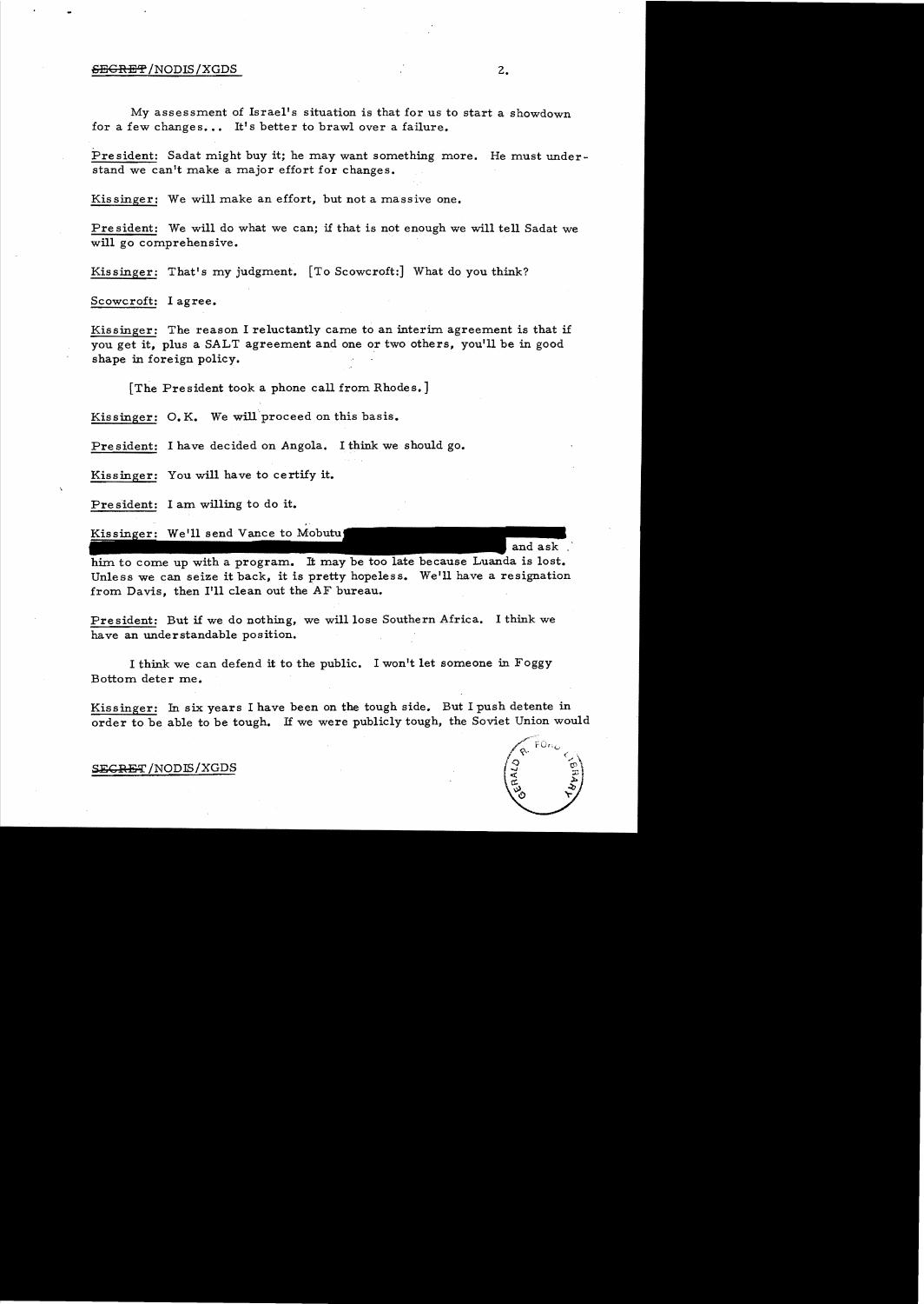#### 6<del>EGRET</del>/NODIS/XGDS 2.

My assessment of Israel's situation is that for us to start a showdown for a few changes... It's better to brawl over a failure.

President: Sadat might buy it; he may want something more. He must understand we can't make a major effort for changes.

Kissinger: We will make an effort, but not a massive one.

Pre sident: We will do what we can; if that is not enough we will tell Sadat we will go comprehensive.

Kissinger: That's my judgment. [To Scowcroft:] What do you think?

Scowcroft: I agree.

Kissinger: The reason I reluctantly came to an interim agreement is that if you get it, plus a SALT agreement and one or two others, you'll be in good shape in foreign policy.

[The President took a phone call from Rhodes.]

Kissinger: O.K. We will proceed on this basis.

President: I have decided on Angola. I think we should go.

Kissinger: You will have to certify it.

President: I am willing to do it.

Kissinger: We'll send Vance to Mobutu

him to come up with a program. It may be too late because Luanda is lost. Unless we can seize it back, it is pretty hopeless. We'll have a resignation from Davis, then I'll clean out the AF bureau.

President: But if we do nothing, we will lose Southern Africa. I think we have an understandable position.

I think we can defend it to the public. I won't let someone in Foggy Bottom deter me.

Kissinger: In six years I have been on the tough side. But I push detente in order to be able to be tough. If we were publicly tough, the Soviet Union would

and ask.

#### SEGRET/NODIS/XGDS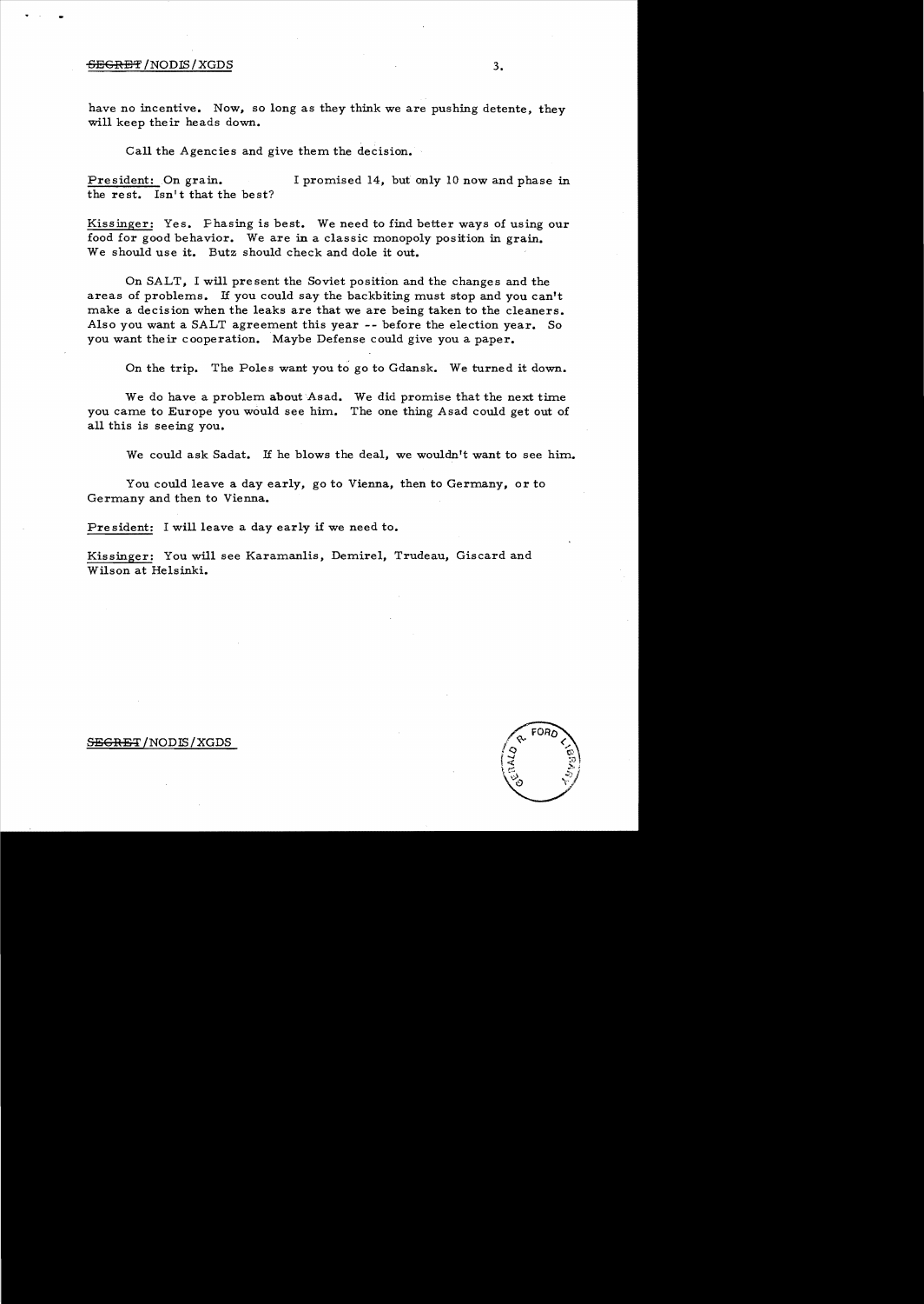#### $\overline{\text{5EGREF}}$  /NODIS / XGDS  $3.$

have no incentive. Now, so long as they think we are pushing detente, they will keep their heads down.

Call the Agencies and give them the decision.

President: On grain. I promised 14, but only 10 now and phase in the rest. Isn't that the best?

Kissinger: Yes. Phasing is best. We need to find better ways of using our food for good behavior. We are in a classic monopoly position in grain. We should use it. Butz should check and dole it out.

On SALT, I will present the Soviet position and the changes and the areas of problems. If you could say the backbiting must stop and you can't make a decision when the leaks are that we are being taken to the cleaners. Also you want a SALT agreement this year -- before the election year. So you want their cooperation. Maybe Defense could give you a paper.

On the trip. The Poles want you to go to Gdansk. We turned it down.

We do have a problem about Asad. We did promise that the next time you carne to Europe you would see him. The one thing Asad could get out of all this is seeing you.

We could ask Sadat. If he blows the deal, we wouldn't want to see him.

You could leave a day early, go to Vienna, then to Germany, or to Germany and then to Vienna.

Pre sident: I will leave a day early if we need to.

Kissinger: You will see Karamanlis, Demirel, Trudeau, Giscard and Wilson at Helsinki.

 $S<sub>EGRET</sub>/NODIS/XGDS$